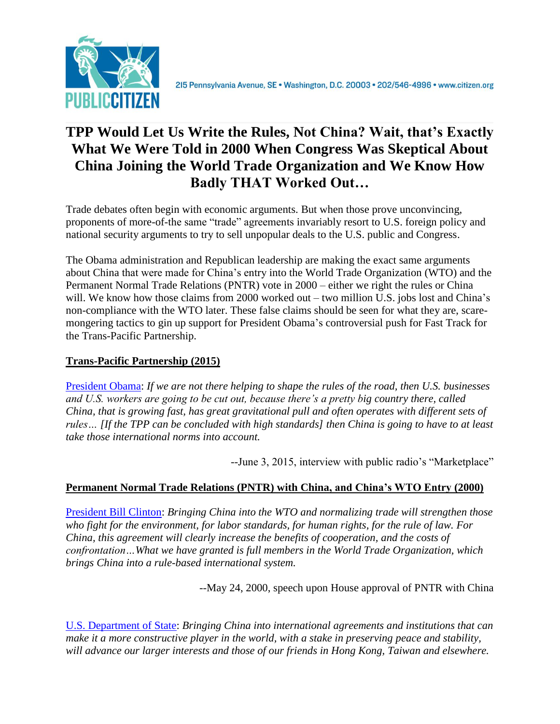

# **TPP Would Let Us Write the Rules, Not China? Wait, that's Exactly What We Were Told in 2000 When Congress Was Skeptical About China Joining the World Trade Organization and We Know How Badly THAT Worked Out…**

Trade debates often begin with economic arguments. But when those prove unconvincing, proponents of more-of-the same "trade" agreements invariably resort to U.S. foreign policy and national security arguments to try to sell unpopular deals to the U.S. public and Congress.

The Obama administration and Republican leadership are making the exact same arguments about China that were made for China's entry into the World Trade Organization (WTO) and the Permanent Normal Trade Relations (PNTR) vote in 2000 – either we right the rules or China will. We know how those claims from 2000 worked out – two million U.S. jobs lost and China's non-compliance with the WTO later. These false claims should be seen for what they are, scaremongering tactics to gin up support for President Obama's controversial push for Fast Track for the Trans-Pacific Partnership.

## **Trans-Pacific Partnership (2015)**

[President Obama:](http://www.politico.com/story/2015/06/barack-obama-china-join-trade-deal-tpp-118598.html#ixzz3cUDJWQez) *If we are not there helping to shape the rules of the road, then U.S. businesses and U.S. workers are going to be cut out, because there's a pretty big country there, called China, that is growing fast, has great gravitational pull and often operates with different sets of rules… [If the TPP can be concluded with high standards] then China is going to have to at least take those international norms into account.*

--June 3, 2015, interview with public radio's "Marketplace"

## **Permanent Normal Trade Relations (PNTR) with China, and China's WTO Entry (2000)**

[President Bill Clinton:](http://www.state.gov/1997-2001-NOPDFS/regions/eap/000524_clinton_china.html) *Bringing China into the WTO and normalizing trade will strengthen those who fight for the environment, for labor standards, for human rights, for the rule of law. For China, this agreement will clearly increase the benefits of cooperation, and the costs of confrontation…What we have granted is full members in the World Trade Organization, which brings China into a rule-based international system.*

--May 24, 2000, speech upon House approval of PNTR with China

[U.S. Department of State:](http://www.state.gov/1997-2001-NOPDFS/regions/eap/fs-china_pntr-wto_000524.html) *Bringing China into international agreements and institutions that can make it a more constructive player in the world, with a stake in preserving peace and stability, will advance our larger interests and those of our friends in Hong Kong, Taiwan and elsewhere.*